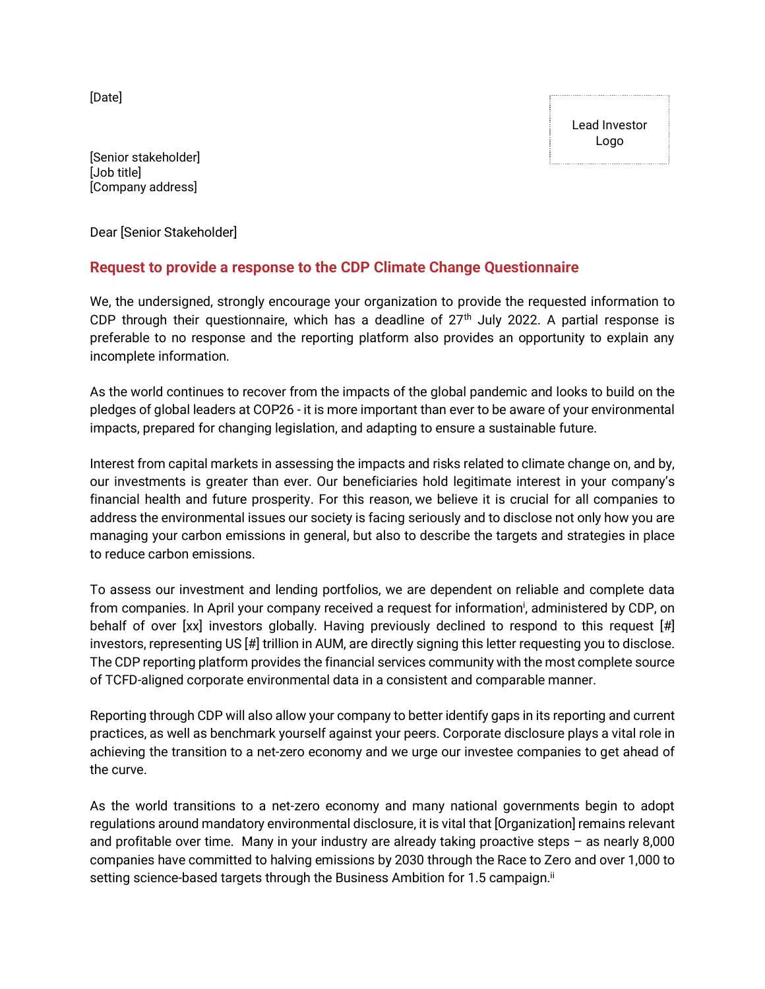[Date]

Lead Investor Logo

[Senior stakeholder] [Job title] [Company address]

Dear [Senior Stakeholder]

## **Request to provide a response to the CDP Climate Change Questionnaire**

We, the undersigned, strongly encourage your organization to provide the requested information to CDP through their questionnaire, which has a deadline of  $27<sup>th</sup>$  July 2022. A partial response is preferable to no response and the reporting platform also provides an opportunity to explain any incomplete information.

As the world continues to recover from the impacts of the global pandemic and looks to build on the pledges of global leaders at COP26 - it is more important than ever to be aware of your environmental impacts, prepared for changing legislation, and adapting to ensure a sustainable future.

Interest from capital markets in assessing the impacts and risks related to climate change on, and by, our investments is greater than ever. Our beneficiaries hold legitimate interest in your company's financial health and future prosperity. For this reason, we believe it is crucial for all companies to address the environmental issues our society is facing seriously and to disclose not only how you are managing your carbon emissions in general, but also to describe the targets and strategies in place to reduce carbon emissions.

To assess our investment and lending portfolios, we are dependent on reliable and complete data from companies. In April your company received a request for information<sup>i</sup>, administered by CDP, on behalf of over [xx] investors globally. Having previously declined to respond to this request [#] investors, representing US [#] trillion in AUM, are directly signing this letter requesting you to disclose. The CDP reporting platform provides the financial services community with the most complete source of TCFD-aligned corporate environmental data in a consistent and comparable manner.

Reporting through CDP will also allow your company to better identify gaps in its reporting and current practices, as well as benchmark yourself against your peers. Corporate disclosure plays a vital role in achieving the transition to a net-zero economy and we urge our investee companies to get ahead of the curve.

As the world transitions to a net-zero economy and many national governments begin to adopt regulations around mandatory environmental disclosure, it is vital that [Organization] remains relevant and profitable over time. Many in your industry are already taking proactive steps – as nearly 8,000 companies have committed to halving emissions by 2030 through the Race to Zero and over 1,000 to setting science-based targets through the Business Ambition for 1.5 campaign.<sup>ii</sup>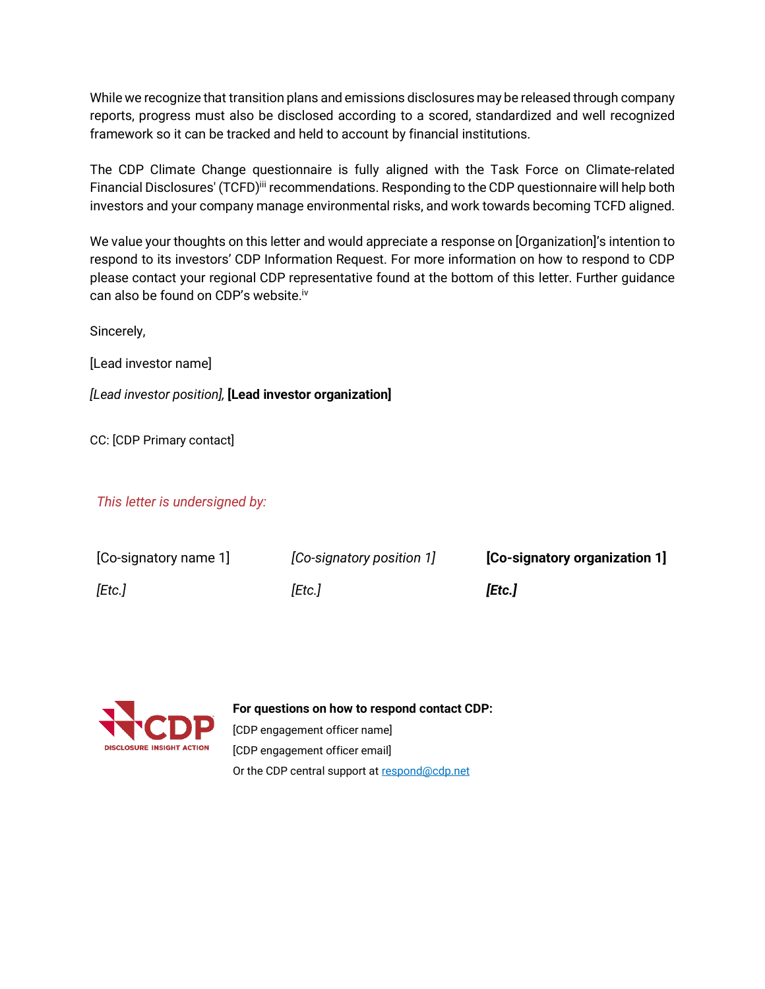While we recognize that transition plans and emissions disclosures may be released through company reports, progress must also be disclosed according to a scored, standardized and well recognized framework so it can be tracked and held to account by financial institutions.

The CDP Climate Change questionnaire is fully aligned with the Task Force on Climate-related Financial Disclosures' (TCFD)<sup>iii</sup> recommendations. Responding to the CDP questionnaire will help both investors and your company manage environmental risks, and work towards becoming TCFD aligned.

We value your thoughts on this letter and would appreciate a response on [Organization]'s intention to respond to its investors' CDP Information Request. For more information on how to respond to CDP please contact your regional CDP representative found at the bottom of this letter. Further guidance can also be found on CDP's website. iv

Sincerely,

[Lead investor name]

*[Lead investor position],* **[Lead investor organization]**

CC: [CDP Primary contact]

*This letter is undersigned by:*

| [Co-signatory name 1] | [Co-signatory position 1] | [Co-signatory organization 1] |
|-----------------------|---------------------------|-------------------------------|
| [Etc.]                | [Etc.]                    | [Etc.]                        |



**For questions on how to respond contact CDP:**

[CDP engagement officer name] [CDP engagement officer email] Or the CDP central support a[t respond@cdp.net](mailto:respond@cdp.net)